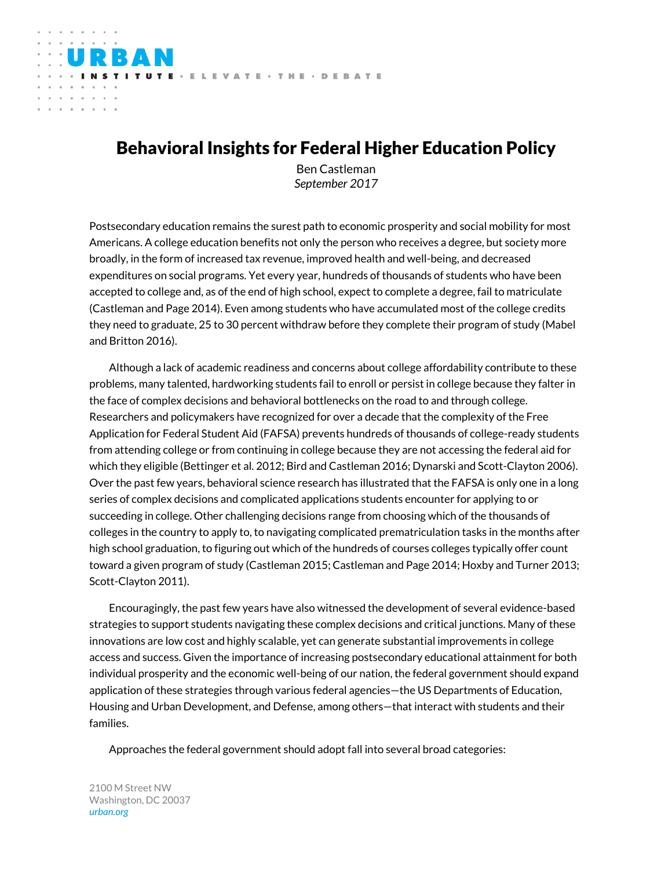# Behavioral Insights for Federal Higher Education Policy

TITUTE - ELEVATE - THE - DEBATE

and the control

Ben Castleman *September 2017*

Postsecondary education remains the surest path to economic prosperity and social mobility for most Americans. A college education benefits not only the person who receives a degree, but society more broadly, in the form of increased tax revenue, improved health and well-being, and decreased expenditures on social programs. Yet every year, hundreds of thousands of students who have been accepted to college and, as of the end of high school, expect to complete a degree, fail to matriculate (Castleman and Page 2014). Even among students who have accumulated most of the college credits they need to graduate, 25 to 30 percent withdraw before they complete their program of study (Mabel and Britton 2016).

Although a lack of academic readiness and concerns about college affordability contribute to these problems, many talented, hardworking students fail to enroll or persist in college because they falter in the face of complex decisions and behavioral bottlenecks on the road to and through college. Researchers and policymakers have recognized for over a decade that the complexity of the Free Application for Federal Student Aid (FAFSA) prevents hundreds of thousands of college-ready students from attending college or from continuing in college because they are not accessing the federal aid for which they eligible (Bettinger et al. 2012; Bird and Castleman 2016; Dynarski and Scott-Clayton 2006). Over the past few years, behavioral science research has illustrated that the FAFSA is only one in a long series of complex decisions and complicated applications students encounter for applying to or succeeding in college. Other challenging decisions range from choosing which of the thousands of colleges in the country to apply to, to navigating complicated prematriculation tasks in the months after high school graduation, to figuring out which of the hundreds of courses colleges typically offer count toward a given program of study (Castleman 2015; Castleman and Page 2014; Hoxby and Turner 2013; Scott-Clayton 2011).

Encouragingly, the past few years have also witnessed the development of several evidence-based strategies to support students navigating these complex decisions and critical junctions. Many of these innovations are low cost and highly scalable, yet can generate substantial improvements in college access and success. Given the importance of increasing postsecondary educational attainment for both individual prosperity and the economic well-being of our nation, the federal government should expand application of these strategies through various federal agencies—the US Departments of Education, Housing and Urban Development, and Defense, among others—that interact with students and their families.

Approaches the federal government should adopt fall into several broad categories:

2100 M Street NW Washington, DC 20037 *urban.org*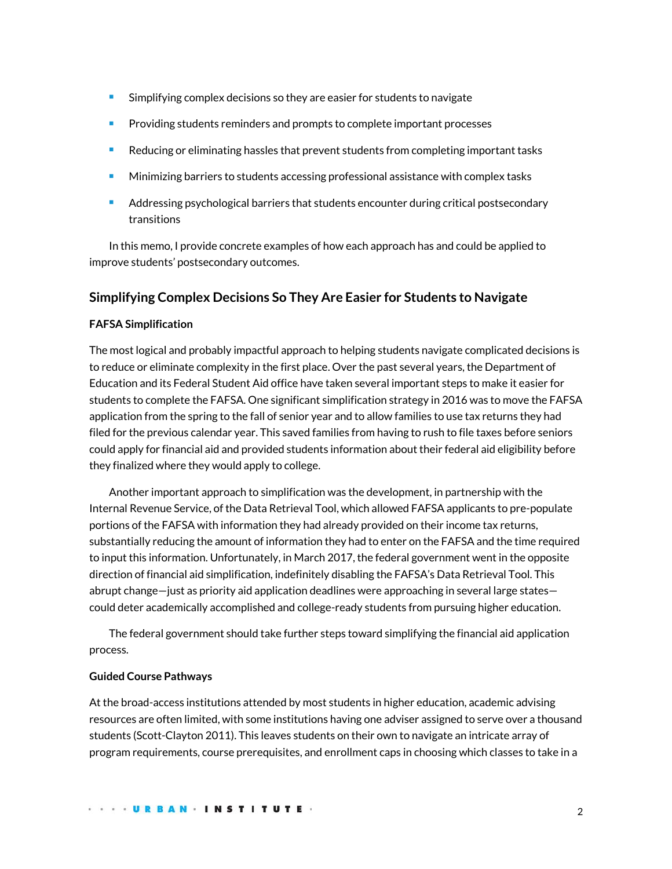- **Simplifying complex decisions so they are easier for students to navigate**
- Providing students reminders and prompts to complete important processes
- Reducing or eliminating hassles that prevent students from completing important tasks
- Minimizing barriers to students accessing professional assistance with complex tasks
- Addressing psychological barriers that students encounter during critical postsecondary transitions

In this memo, I provide concrete examples of how each approach has and could be applied to improve students' postsecondary outcomes.

# **Simplifying Complex Decisions So They Are Easier for Students to Navigate**

### **FAFSA Simplification**

The most logical and probably impactful approach to helping students navigate complicated decisions is to reduce or eliminate complexity in the first place. Over the past several years, the Department of Education and its Federal Student Aid office have taken several important steps to make it easier for students to complete the FAFSA. One significant simplification strategy in 2016 was to move the FAFSA application from the spring to the fall of senior year and to allow families to use tax returns they had filed for the previous calendar year. This saved families from having to rush to file taxes before seniors could apply for financial aid and provided students information about their federal aid eligibility before they finalized where they would apply to college.

Another important approach to simplification was the development, in partnership with the Internal Revenue Service, of the Data Retrieval Tool, which allowed FAFSA applicants to pre-populate portions of the FAFSA with information they had already provided on their income tax returns, substantially reducing the amount of information they had to enter on the FAFSA and the time required to input this information. Unfortunately, in March 2017, the federal government went in the opposite direction of financial aid simplification, indefinitely disabling the FAFSA's Data Retrieval Tool. This abrupt change—just as priority aid application deadlines were approaching in several large states could deter academically accomplished and college-ready students from pursuing higher education.

The federal government should take further steps toward simplifying the financial aid application process.

#### **Guided Course Pathways**

At the broad-access institutions attended by most students in higher education, academic advising resources are often limited, with some institutions having one adviser assigned to serve over a thousand students (Scott-Clayton 2011). This leaves students on their own to navigate an intricate array of program requirements, course prerequisites, and enrollment caps in choosing which classes to take in a

. . . . URBAN . INSTITUTE .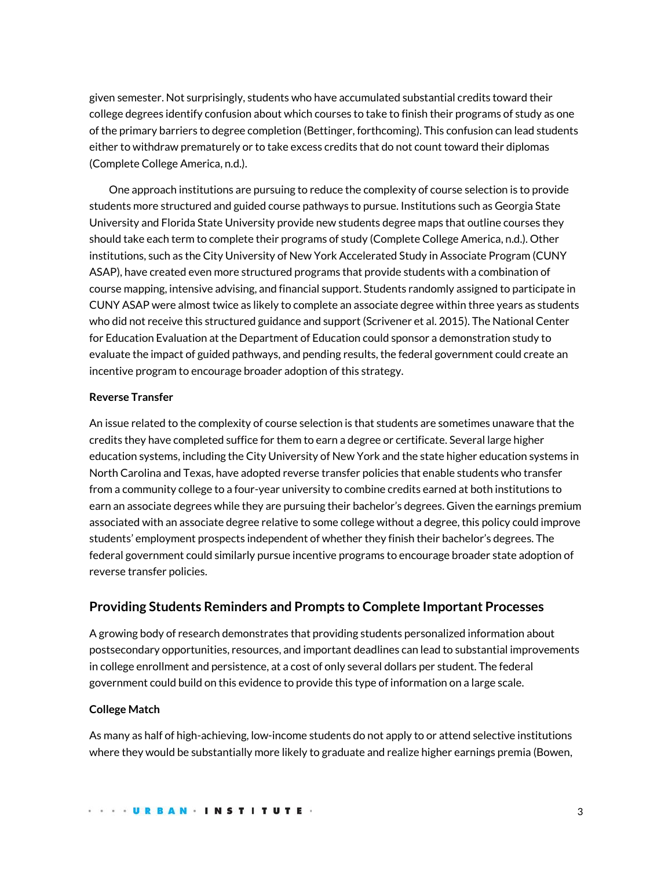given semester. Not surprisingly, students who have accumulated substantial credits toward their college degrees identify confusion about which courses to take to finish their programs of study as one of the primary barriers to degree completion (Bettinger, forthcoming). This confusion can lead students either to withdraw prematurely or to take excess credits that do not count toward their diplomas (Complete College America, n.d.).

One approach institutions are pursuing to reduce the complexity of course selection is to provide students more structured and guided course pathways to pursue. Institutions such as Georgia State University and Florida State University provide new students degree maps that outline courses they should take each term to complete their programs of study (Complete College America, n.d.). Other institutions, such as the City University of New York Accelerated Study in Associate Program (CUNY ASAP), have created even more structured programs that provide students with a combination of course mapping, intensive advising, and financial support. Students randomly assigned to participate in CUNY ASAP were almost twice as likely to complete an associate degree within three years as students who did not receive this structured guidance and support (Scrivener et al. 2015). The National Center for Education Evaluation at the Department of Education could sponsor a demonstration study to evaluate the impact of guided pathways, and pending results, the federal government could create an incentive program to encourage broader adoption of this strategy.

# **Reverse Transfer**

An issue related to the complexity of course selection is that students are sometimes unaware that the credits they have completed suffice for them to earn a degree or certificate. Several large higher education systems, including the City University of New York and the state higher education systems in North Carolina and Texas, have adopted reverse transfer policies that enable students who transfer from a community college to a four-year university to combine credits earned at both institutions to earn an associate degrees while they are pursuing their bachelor's degrees. Given the earnings premium associated with an associate degree relative to some college without a degree, this policy could improve students' employment prospects independent of whether they finish their bachelor's degrees. The federal government could similarly pursue incentive programs to encourage broader state adoption of reverse transfer policies.

# **Providing Students Reminders and Prompts to Complete Important Processes**

A growing body of research demonstrates that providing students personalized information about postsecondary opportunities, resources, and important deadlines can lead to substantial improvements in college enrollment and persistence, at a cost of only several dollars per student. The federal government could build on this evidence to provide this type of information on a large scale.

### **College Match**

As many as half of high-achieving, low-income students do not apply to or attend selective institutions where they would be substantially more likely to graduate and realize higher earnings premia (Bowen,

**URBAN · INSTITUTE ·**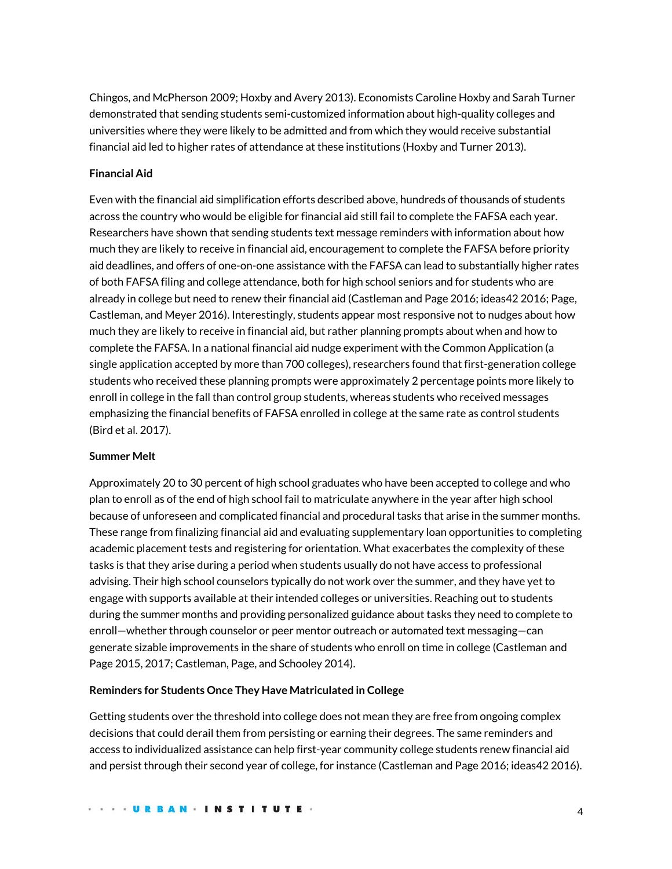Chingos, and McPherson 2009; Hoxby and Avery 2013). Economists Caroline Hoxby and Sarah Turner demonstrated that sending students semi-customized information about high-quality colleges and universities where they were likely to be admitted and from which they would receive substantial financial aid led to higher rates of attendance at these institutions (Hoxby and Turner 2013).

# **Financial Aid**

Even with the financial aid simplification efforts described above, hundreds of thousands of students across the country who would be eligible for financial aid still fail to complete the FAFSA each year. Researchers have shown that sending students text message reminders with information about how much they are likely to receive in financial aid, encouragement to complete the FAFSA before priority aid deadlines, and offers of one-on-one assistance with the FAFSA can lead to substantially higher rates of both FAFSA filing and college attendance, both for high school seniors and for students who are already in college but need to renew their financial aid (Castleman and Page 2016; ideas42 2016; Page, Castleman, and Meyer 2016). Interestingly, students appear most responsive not to nudges about how much they are likely to receive in financial aid, but rather planning prompts about when and how to complete the FAFSA. In a national financial aid nudge experiment with the Common Application (a single application accepted by more than 700 colleges), researchers found that first-generation college students who received these planning prompts were approximately 2 percentage points more likely to enroll in college in the fall than control group students, whereas students who received messages emphasizing the financial benefits of FAFSA enrolled in college at the same rate as control students (Bird et al. 2017).

### **Summer Melt**

Approximately 20 to 30 percent of high school graduates who have been accepted to college and who plan to enroll as of the end of high school fail to matriculate anywhere in the year after high school because of unforeseen and complicated financial and procedural tasks that arise in the summer months. These range from finalizing financial aid and evaluating supplementary loan opportunities to completing academic placement tests and registering for orientation. What exacerbates the complexity of these tasks is that they arise during a period when students usually do not have access to professional advising. Their high school counselors typically do not work over the summer, and they have yet to engage with supports available at their intended colleges or universities. Reaching out to students during the summer months and providing personalized guidance about tasks they need to complete to enroll—whether through counselor or peer mentor outreach or automated text messaging—can generate sizable improvements in the share of students who enroll on time in college (Castleman and Page 2015, 2017; Castleman, Page, and Schooley 2014).

### **Reminders for Students Once They Have Matriculated in College**

Getting students over the threshold into college does not mean they are free from ongoing complex decisions that could derail them from persisting or earning their degrees. The same reminders and access to individualized assistance can help first-year community college students renew financial aid and persist through their second year of college, for instance (Castleman and Page 2016; ideas42 2016).

. . . . URBAN . INSTITUTE .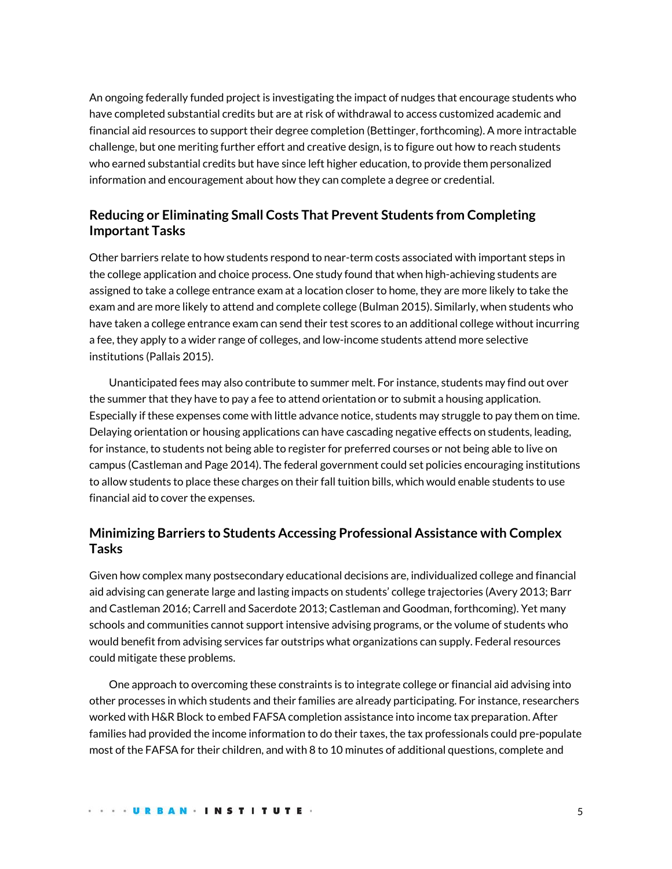An ongoing federally funded project is investigating the impact of nudges that encourage students who have completed substantial credits but are at risk of withdrawal to access customized academic and financial aid resources to support their degree completion (Bettinger, forthcoming). A more intractable challenge, but one meriting further effort and creative design, is to figure out how to reach students who earned substantial credits but have since left higher education, to provide them personalized information and encouragement about how they can complete a degree or credential.

# **Reducing or Eliminating Small Costs That Prevent Students from Completing Important Tasks**

Other barriers relate to how students respond to near-term costs associated with important steps in the college application and choice process. One study found that when high-achieving students are assigned to take a college entrance exam at a location closer to home, they are more likely to take the exam and are more likely to attend and complete college (Bulman 2015). Similarly, when students who have taken a college entrance exam can send their test scores to an additional college without incurring a fee, they apply to a wider range of colleges, and low-income students attend more selective institutions (Pallais 2015).

Unanticipated fees may also contribute to summer melt. For instance, students may find out over the summer that they have to pay a fee to attend orientation or to submit a housing application. Especially if these expenses come with little advance notice, students may struggle to pay them on time. Delaying orientation or housing applications can have cascading negative effects on students, leading, for instance, to students not being able to register for preferred courses or not being able to live on campus (Castleman and Page 2014). The federal government could set policies encouraging institutions to allow students to place these charges on their fall tuition bills, which would enable students to use financial aid to cover the expenses.

# **Minimizing Barriers to Students Accessing Professional Assistance with Complex Tasks**

Given how complex many postsecondary educational decisions are, individualized college and financial aid advising can generate large and lasting impacts on students' college trajectories (Avery 2013; Barr and Castleman 2016; Carrell and Sacerdote 2013; Castleman and Goodman, forthcoming). Yet many schools and communities cannot support intensive advising programs, or the volume of students who would benefit from advising services far outstrips what organizations can supply. Federal resources could mitigate these problems.

One approach to overcoming these constraints is to integrate college or financial aid advising into other processes in which students and their families are already participating. For instance, researchers worked with H&R Block to embed FAFSA completion assistance into income tax preparation. After families had provided the income information to do their taxes, the tax professionals could pre-populate most of the FAFSA for their children, and with 8 to 10 minutes of additional questions, complete and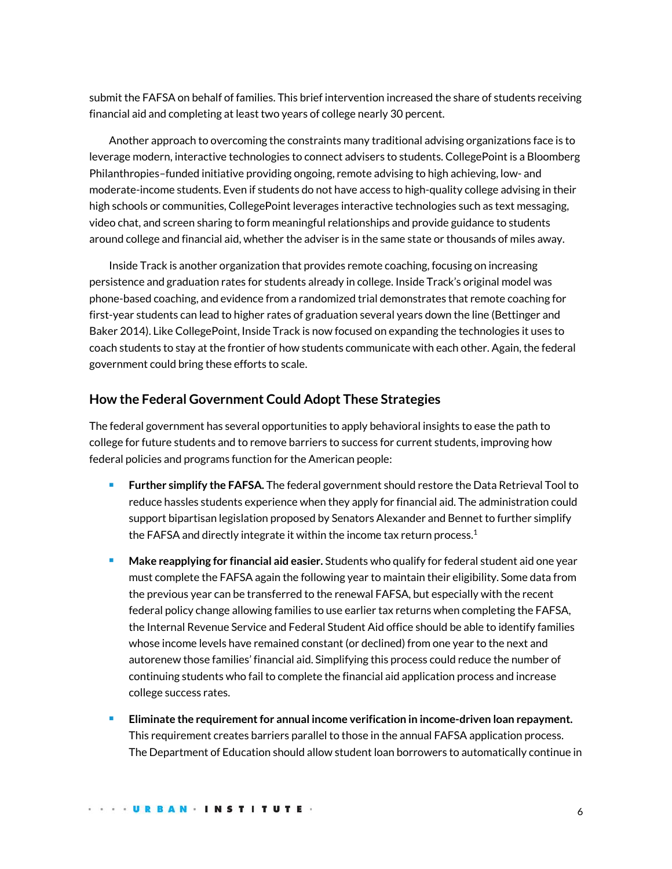submit the FAFSA on behalf of families. This brief intervention increased the share of students receiving financial aid and completing at least two years of college nearly 30 percent.

Another approach to overcoming the constraints many traditional advising organizations face is to leverage modern, interactive technologies to connect advisers to students. CollegePoint is a Bloomberg Philanthropies–funded initiative providing ongoing, remote advising to high achieving, low- and moderate-income students. Even if students do not have access to high-quality college advising in their high schools or communities, CollegePoint leverages interactive technologies such as text messaging, video chat, and screen sharing to form meaningful relationships and provide guidance to students around college and financial aid, whether the adviser is in the same state or thousands of miles away.

Inside Track is another organization that provides remote coaching, focusing on increasing persistence and graduation rates for students already in college. Inside Track's original model was phone-based coaching, and evidence from a randomized trial demonstrates that remote coaching for first-year students can lead to higher rates of graduation several years down the line (Bettinger and Baker 2014). Like CollegePoint, Inside Track is now focused on expanding the technologies it uses to coach students to stay at the frontier of how students communicate with each other. Again, the federal government could bring these efforts to scale.

# **How the Federal Government Could Adopt These Strategies**

The federal government has several opportunities to apply behavioral insights to ease the path to college for future students and to remove barriers to success for current students, improving how federal policies and programs function for the American people:

- **Further simplify the FAFSA.** The federal government should restore the Data Retrieval Tool to reduce hassles students experience when they apply for financial aid. The administration could support bipartisan legislation proposed by Senators Alexander and Bennet to further simplify the FAFSA and directly integrate it within the income tax return process.<sup>1</sup>
- **Make reapplying for financial aid easier.** Students who qualify for federal student aid one year must complete the FAFSA again the following year to maintain their eligibility. Some data from the previous year can be transferred to the renewal FAFSA, but especially with the recent federal policy change allowing families to use earlier tax returns when completing the FAFSA, the Internal Revenue Service and Federal Student Aid office should be able to identify families whose income levels have remained constant (or declined) from one year to the next and autorenew those families' financial aid. Simplifying this process could reduce the number of continuing students who fail to complete the financial aid application process and increase college success rates.
- **Eliminate the requirement for annual income verification in income-driven loan repayment.** This requirement creates barriers parallel to those in the annual FAFSA application process. The Department of Education should allow student loan borrowers to automatically continue in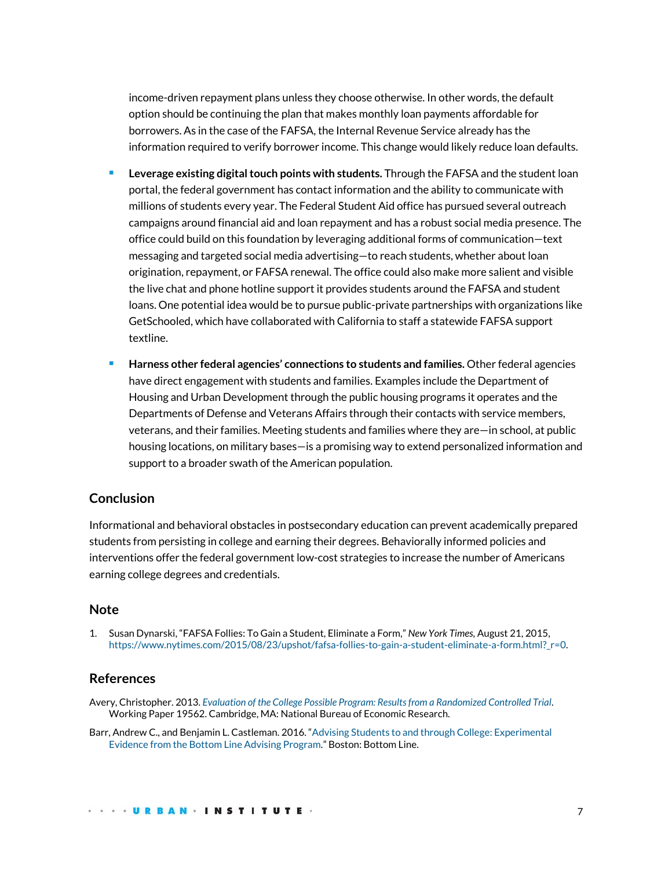income-driven repayment plans unless they choose otherwise. In other words, the default option should be continuing the plan that makes monthly loan payments affordable for borrowers. As in the case of the FAFSA, the Internal Revenue Service already has the information required to verify borrower income. This change would likely reduce loan defaults.

- **Leverage existing digital touch points with students.** Through the FAFSA and the student loan portal, the federal government has contact information and the ability to communicate with millions of students every year. The Federal Student Aid office has pursued several outreach campaigns around financial aid and loan repayment and has a robust social media presence. The office could build on this foundation by leveraging additional forms of communication—text messaging and targeted social media advertising—to reach students, whether about loan origination, repayment, or FAFSA renewal. The office could also make more salient and visible the live chat and phone hotline support it provides students around the FAFSA and student loans. One potential idea would be to pursue public-private partnerships with organizations like GetSchooled, which have collaborated with California to staff a statewide FAFSA support textline.
- **Harness other federal agencies' connections to students and families.** Other federal agencies have direct engagement with students and families. Examples include the Department of Housing and Urban Development through the public housing programs it operates and the Departments of Defense and Veterans Affairs through their contacts with service members, veterans, and their families. Meeting students and families where they are—in school, at public housing locations, on military bases—is a promising way to extend personalized information and support to a broader swath of the American population.

# **Conclusion**

Informational and behavioral obstacles in postsecondary education can prevent academically prepared students from persisting in college and earning their degrees. Behaviorally informed policies and interventions offer the federal government low-cost strategies to increase the number of Americans earning college degrees and credentials.

# **Note**

1. Susan Dynarski, "FAFSA Follies: To Gain a Student, Eliminate a Form," *New York Times,* August 21, 2015, [https://www.nytimes.com/2015/08/23/upshot/fafsa-follies-to-gain-a-student-eliminate-a-form.html?\\_r=0.](https://www.nytimes.com/2015/08/23/upshot/fafsa-follies-to-gain-a-student-eliminate-a-form.html?_r=0) 

# **References**

- Avery, Christopher. 2013. *[Evaluation of the College Possible Program: Results from a Randomized Controlled Trial](http://www.nber.org/papers/w19562)*. Working Paper 19562. Cambridge, MA: National Bureau of Economic Research.
- Barr, Andrew C., and Benjamin L. Castleman. 2016. "[Advising Students to and through College: Experimental](https://www.bottomline.org/sites/default/files/Advising%20Students%20To%20and%20Through%20College_web.pdf)  [Evidence from the Bottom Line Advising Program](https://www.bottomline.org/sites/default/files/Advising%20Students%20To%20and%20Through%20College_web.pdf)." Boston: Bottom Line.

#### . . . URBAN . INSTITUTE .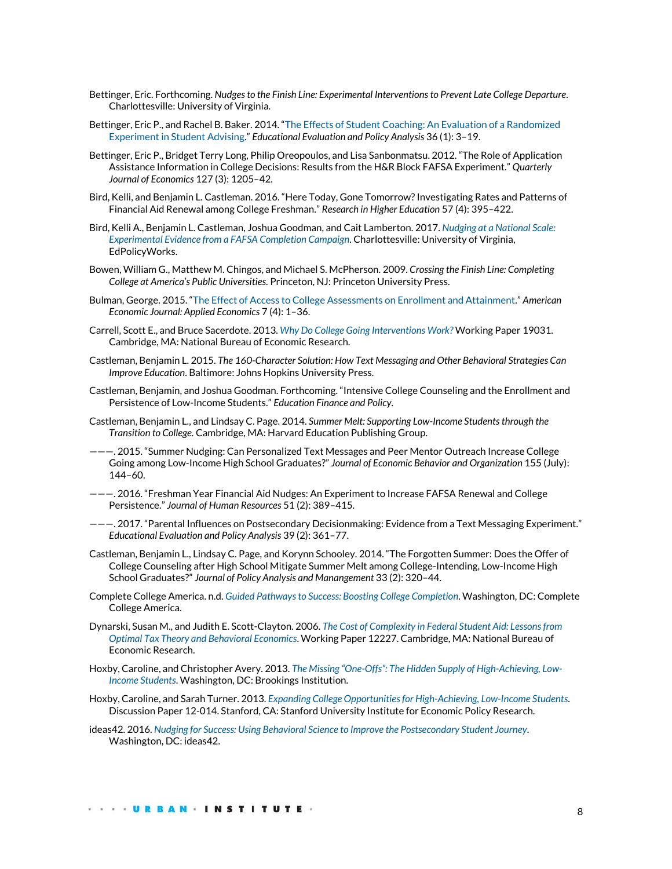- Bettinger, Eric. Forthcoming. *Nudges to the Finish Line: Experimental Interventions to Prevent Late College Departure*. Charlottesville: University of Virginia.
- Bettinger, Eric P., and Rachel B. Baker. 2014. "[The Effects of Student Coaching: An Evaluation of a Randomized](http://journals.sagepub.com/doi/abs/10.3102/0162373713500523)  [Experiment in Student Advising](http://journals.sagepub.com/doi/abs/10.3102/0162373713500523)." *Educational Evaluation and Policy Analysis* 36 (1): 3–19.
- Bettinger, Eric P., Bridget Terry Long, Philip Oreopoulos, and Lisa Sanbonmatsu. 2012. "The Role of Application Assistance Information in College Decisions: Results from the H&R Block FAFSA Experiment." *Quarterly Journal of Economics* 127 (3): 1205–42.
- Bird, Kelli, and Benjamin L. Castleman. 2016. "Here Today, Gone Tomorrow? Investigating Rates and Patterns of Financial Aid Renewal among College Freshman." *Research in Higher Education* 57 (4): 395–422.
- Bird, Kelli A., Benjamin L. Castleman, Joshua Goodman, and Cait Lamberton. 2017. *[Nudging at a National Scale:](http://curry.virginia.edu/uploads/resourceLibrary/55_Nudging_at_a_National_Scale.pdf)  [Experimental Evidence from a FAFSA Completion Campaign](http://curry.virginia.edu/uploads/resourceLibrary/55_Nudging_at_a_National_Scale.pdf)*. Charlottesville: University of Virginia, EdPolicyWorks.
- Bowen, William G., Matthew M. Chingos, and Michael S. McPherson. 2009. *Crossing the Finish Line: Completing College at America's Public Universities.* Princeton, NJ: Princeton University Press.
- Bulman, George. 2015. "[The Effect of Access to College Assessments on Enrollment and Attainment](https://www.aeaweb.org/articles?id=10.1257/app.20140062)." *American Economic Journal: Applied Economics* 7 (4): 1–36.
- Carrell, Scott E., and Bruce Sacerdote. 2013. *[Why Do College Going Interventions Work?](http://www.nber.org/papers/w19031)* Working Paper 19031. Cambridge, MA: National Bureau of Economic Research.
- Castleman, Benjamin L. 2015. *The 160-Character Solution: How Text Messaging and Other Behavioral Strategies Can Improve Education*. Baltimore: Johns Hopkins University Press.
- Castleman, Benjamin, and Joshua Goodman. Forthcoming. "Intensive College Counseling and the Enrollment and Persistence of Low-Income Students." *Education Finance and Policy.*
- Castleman, Benjamin L., and Lindsay C. Page. 2014. *Summer Melt: Supporting Low-Income Students through the Transition to College.* Cambridge, MA: Harvard Education Publishing Group.
- ———. 2015. "Summer Nudging: Can Personalized Text Messages and Peer Mentor Outreach Increase College Going among Low-Income High School Graduates?" *Journal of Economic Behavior and Organization* 155 (July): 144–60.
- ———. 2016. "Freshman Year Financial Aid Nudges: An Experiment to Increase FAFSA Renewal and College Persistence." *Journal of Human Resources* 51 (2): 389–415.
- ———. 2017. "Parental Influences on Postsecondary Decisionmaking: Evidence from a Text Messaging Experiment." *Educational Evaluation and Policy Analysis* 39 (2): 361–77.
- Castleman, Benjamin L., Lindsay C. Page, and Korynn Schooley. 2014. "The Forgotten Summer: Does the Offer of College Counseling after High School Mitigate Summer Melt among College-Intending, Low-Income High School Graduates?" *Journal of Policy Analysis and Manangement* 33 (2): 320–44.
- Complete College America. n.d. *[Guided Pathways to Success: Boosting College Completion](http://completecollege.org/docs/GPS%20BOOKLET%2006-14%20FINAL.pdf)*. Washington, DC: Complete College America.
- Dynarski, Susan M., and Judith E. Scott-Clayton. 2006. *[The Cost of Complexity in Federal Student Aid: Lessons from](http://www.nber.org/papers/w12227) [Optimal Tax Theory and Behavioral Economics](http://www.nber.org/papers/w12227)*. Working Paper 12227. Cambridge, MA: National Bureau of Economic Research.
- Hoxby, Caroline, and Christopher Avery. 2013. *The Missing "One-[Offs": The Hidden Supply of High](https://www.brookings.edu/bpea-articles/the-missing-one-offs-the-hidden-supply-of-high-achieving-low-income-students/)-Achieving, Low-[Income Students](https://www.brookings.edu/bpea-articles/the-missing-one-offs-the-hidden-supply-of-high-achieving-low-income-students/)*. Washington, DC: Brookings Institution.
- Hoxby, Caroline, and Sarah Turner. 2013. *[Expanding College Opportunities for High-Achieving, Low-Income Students](http://siepr.stanford.edu/research/publications/expanding-college-opportunities-high-achieving-low-income-students)*. Discussion Paper 12-014. Stanford, CA: Stanford University Institute for Economic Policy Research.
- ideas42. 2016. *[Nudging for Success: Using Behavioral Science to Improve the Postsecondary Student Journey](http://www.ideas42.org/wp-content/uploads/2016/09/Nudging-For-Success-FINAL.pdf)*. Washington, DC: ideas42.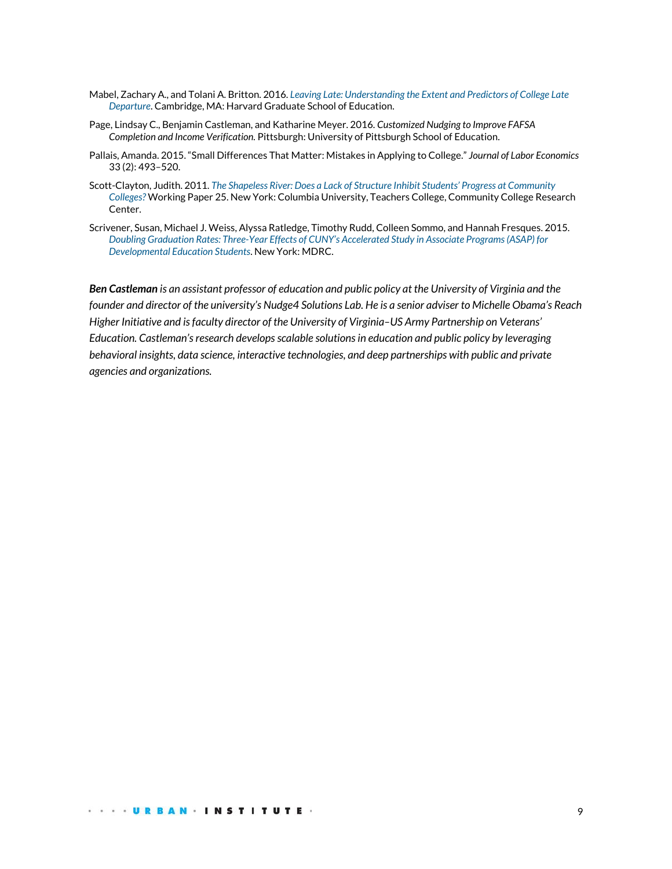- Mabel, Zachary A., and Tolani A. Britton. 2016. *[Leaving Late: Understanding the Extent and Predictors of College Late](http://scholar.harvard.edu/files/zmabel/files/nc_descriptive_paper_-_full_draft_v10_june_2016.pdf)  [Departure](http://scholar.harvard.edu/files/zmabel/files/nc_descriptive_paper_-_full_draft_v10_june_2016.pdf)*. Cambridge, MA: Harvard Graduate School of Education.
- Page, Lindsay C., Benjamin Castleman, and Katharine Meyer. 2016. *Customized Nudging to Improve FAFSA Completion and Income Verification.* Pittsburgh: University of Pittsburgh School of Education.
- Pallais, Amanda. 2015. "Small Differences That Matter: Mistakes in Applying to College." *Journal of Labor Economics* 33 (2): 493–520.
- Scott-Clayton, Judith. 2011. *[The Shapeless River: Does a Lack of Structure Inhibit Stu](https://ccrc.tc.columbia.edu/media/k2/attachments/shapeless-river.pdf)dents' Progress at Community [Colleges?](https://ccrc.tc.columbia.edu/media/k2/attachments/shapeless-river.pdf)* Working Paper 25. New York: Columbia University, Teachers College, Community College Research Center.
- Scrivener, Susan, Michael J. Weiss, Alyssa Ratledge, Timothy Rudd, Colleen Sommo, and Hannah Fresques. 2015. *Doubling Graduation Rates: Three-[Year Effects of CUNY's Accelerated Study in Associate Programs \(ASAP\) for](http://www.mdrc.org/publication/doubling-graduation-rates)  [Developmental Education Students](http://www.mdrc.org/publication/doubling-graduation-rates)*. New York: MDRC.

*Ben Castleman is an assistant professor of education and public policy at the University of Virginia and the founder and director of the university's Nudge4 Solutions Lab. He is a senior adviser to Michelle Obama's Reach Higher Initiative and is faculty director of the University of Virginia–US Army Partnership on Veterans' Education. Castleman'sresearch develops scalable solutions in education and public policy by leveraging behavioral insights, data science, interactive technologies, and deep partnerships with public and private agencies and organizations.*